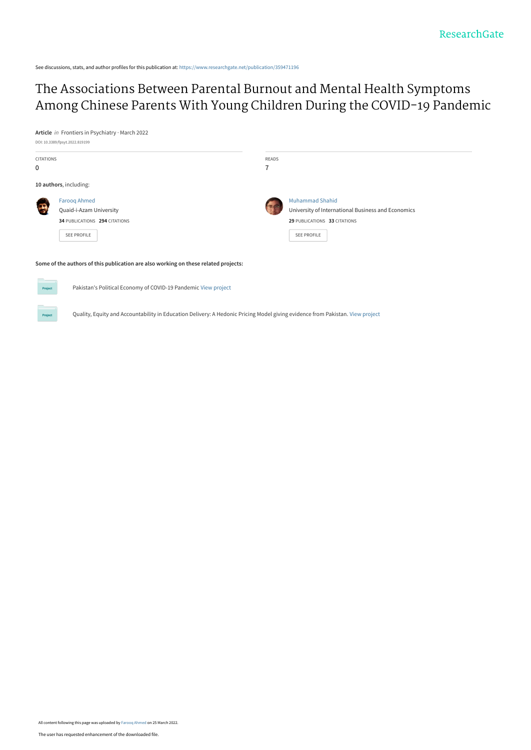See discussions, stats, and author profiles for this publication at: [https://www.researchgate.net/publication/359471196](https://www.researchgate.net/publication/359471196_The_Associations_Between_Parental_Burnout_and_Mental_Health_Symptoms_Among_Chinese_Parents_With_Young_Children_During_the_COVID-19_Pandemic?enrichId=rgreq-c4da9f138db054afb96960d943c4835d-XXX&enrichSource=Y292ZXJQYWdlOzM1OTQ3MTE5NjtBUzoxMTM3NTc0MTk4NDE1MzYwQDE2NDgyMzAyMzIwNDk%3D&el=1_x_2&_esc=publicationCoverPdf)

# The Associations Between Parental Burnout and Mental Health Symptoms [Among Chinese Parents With Young Children During the COVID-19 Pandemic](https://www.researchgate.net/publication/359471196_The_Associations_Between_Parental_Burnout_and_Mental_Health_Symptoms_Among_Chinese_Parents_With_Young_Children_During_the_COVID-19_Pandemic?enrichId=rgreq-c4da9f138db054afb96960d943c4835d-XXX&enrichSource=Y292ZXJQYWdlOzM1OTQ3MTE5NjtBUzoxMTM3NTc0MTk4NDE1MzYwQDE2NDgyMzAyMzIwNDk%3D&el=1_x_3&_esc=publicationCoverPdf)

**Article** in Frontiers in Psychiatry · March 2022



Quality, Equity and Accountability in Education Delivery: A Hedonic Pricing Model giving evidence from Pakistan. [View project](https://www.researchgate.net/project/Quality-Equity-and-Accountability-in-Education-Delivery-A-Hedonic-Pricing-Model-giving-evidence-from-Pakistan?enrichId=rgreq-c4da9f138db054afb96960d943c4835d-XXX&enrichSource=Y292ZXJQYWdlOzM1OTQ3MTE5NjtBUzoxMTM3NTc0MTk4NDE1MzYwQDE2NDgyMzAyMzIwNDk%3D&el=1_x_9&_esc=publicationCoverPdf)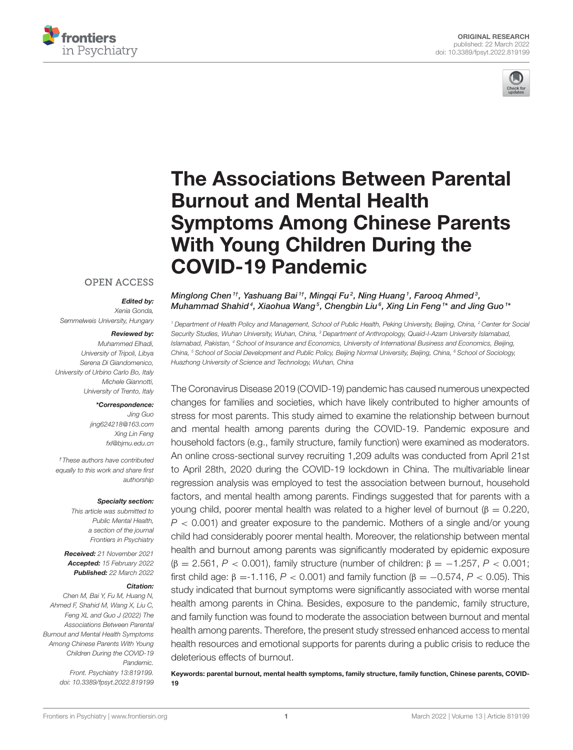



# [The Associations Between Parental](https://www.frontiersin.org/articles/10.3389/fpsyt.2022.819199/full) Burnout and Mental Health Symptoms Among Chinese Parents With Young Children During the COVID-19 Pandemic

#### **OPEN ACCESS**

#### Edited by:

*Xenia Gonda, Semmelweis University, Hungary*

#### Reviewed by:

*Muhammed Elhadi, University of Tripoli, Libya Serena Di Giandomenico, University of Urbino Carlo Bo, Italy Michele Giannotti, University of Trento, Italy*

#### \*Correspondence:

*Jing Guo [jing624218@163.com](mailto:jing624218@163.com) Xing Lin Feng [fxl@bjmu.edu.cn](mailto:fxl@bjmu.edu.cn)*

*†These authors have contributed equally to this work and share first authorship*

#### Specialty section:

*This article was submitted to Public Mental Health, a section of the journal Frontiers in Psychiatry*

Received: *21 November 2021* Accepted: *15 February 2022* Published: *22 March 2022*

#### Citation:

*Chen M, Bai Y, Fu M, Huang N, Ahmed F, Shahid M, Wang X, Liu C, Feng XL and Guo J (2022) The Associations Between Parental Burnout and Mental Health Symptoms Among Chinese Parents With Young Children During the COVID-19 Pandemic. Front. Psychiatry 13:819199. doi: [10.3389/fpsyt.2022.819199](https://doi.org/10.3389/fpsyt.2022.819199)* Minglong Chen<sup>1†</sup>, Yashuang Bai<sup>1†</sup>, Mingqi Fu<sup>2</sup>, Ning Huang<sup>1</sup>, Farooq Ahmed<sup>3</sup>, Muhammad Shahid $^4$ , Xiaohua Wang $^5$ , Chengbin Liu $^6$ , Xing Lin Feng $^{\rm 1*}$  and Jing Guo $^{\rm 1*}$ 

*<sup>1</sup> Department of Health Policy and Management, School of Public Health, Peking University, Beijing, China, <sup>2</sup> Center for Social Security Studies, Wuhan University, Wuhan, China, <sup>3</sup> Department of Anthropology, Quaid-I-Azam University Islamabad, Islamabad, Pakistan, <sup>4</sup> School of Insurance and Economics, University of International Business and Economics, Beijing, China, <sup>5</sup> School of Social Development and Public Policy, Beijing Normal University, Beijing, China, <sup>6</sup> School of Sociology, Huazhong University of Science and Technology, Wuhan, China*

The Coronavirus Disease 2019 (COVID-19) pandemic has caused numerous unexpected changes for families and societies, which have likely contributed to higher amounts of stress for most parents. This study aimed to examine the relationship between burnout and mental health among parents during the COVID-19. Pandemic exposure and household factors (e.g., family structure, family function) were examined as moderators. An online cross-sectional survey recruiting 1,209 adults was conducted from April 21st to April 28th, 2020 during the COVID-19 lockdown in China. The multivariable linear regression analysis was employed to test the association between burnout, household factors, and mental health among parents. Findings suggested that for parents with a young child, poorer mental health was related to a higher level of burnout (β = 0.220, *P* < 0.001) and greater exposure to the pandemic. Mothers of a single and/or young child had considerably poorer mental health. Moreover, the relationship between mental health and burnout among parents was significantly moderated by epidemic exposure (β = 2.561, *P* < 0.001), family structure (number of children: β = −1.257, *P* < 0.001; first child age:  $β = -1.116$ ,  $P < 0.001$ ) and family function ( $β = -0.574$ ,  $P < 0.05$ ). This study indicated that burnout symptoms were significantly associated with worse mental health among parents in China. Besides, exposure to the pandemic, family structure, and family function was found to moderate the association between burnout and mental health among parents. Therefore, the present study stressed enhanced access to mental health resources and emotional supports for parents during a public crisis to reduce the deleterious effects of burnout.

Keywords: parental burnout, mental health symptoms, family structure, family function, Chinese parents, COVID-19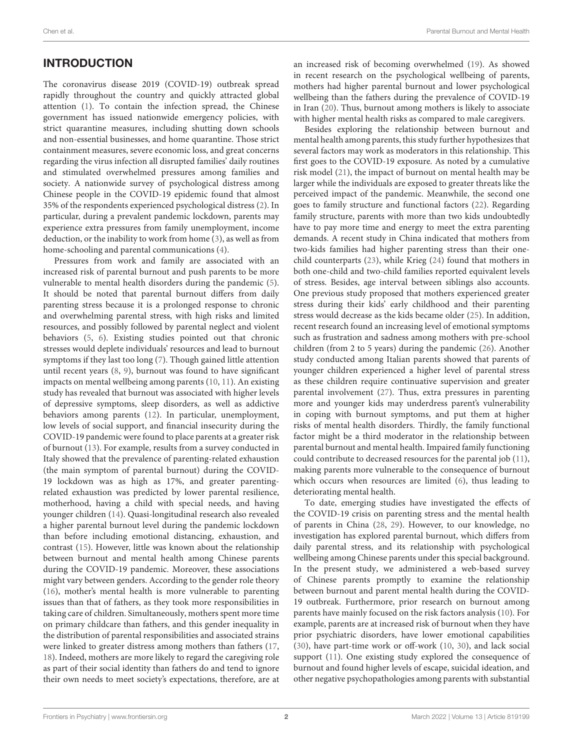### INTRODUCTION

The coronavirus disease 2019 (COVID-19) outbreak spread rapidly throughout the country and quickly attracted global attention [\(1\)](#page-7-0). To contain the infection spread, the Chinese government has issued nationwide emergency policies, with strict quarantine measures, including shutting down schools and non-essential businesses, and home quarantine. Those strict containment measures, severe economic loss, and great concerns regarding the virus infection all disrupted families' daily routines and stimulated overwhelmed pressures among families and society. A nationwide survey of psychological distress among Chinese people in the COVID-19 epidemic found that almost 35% of the respondents experienced psychological distress [\(2\)](#page-7-1). In particular, during a prevalent pandemic lockdown, parents may experience extra pressures from family unemployment, income deduction, or the inability to work from home [\(3\)](#page-7-2), as well as from home-schooling and parental communications [\(4\)](#page-7-3).

Pressures from work and family are associated with an increased risk of parental burnout and push parents to be more vulnerable to mental health disorders during the pandemic [\(5\)](#page-7-4). It should be noted that parental burnout differs from daily parenting stress because it is a prolonged response to chronic and overwhelming parental stress, with high risks and limited resources, and possibly followed by parental neglect and violent behaviors [\(5,](#page-7-4) [6\)](#page-7-5). Existing studies pointed out that chronic stresses would deplete individuals' resources and lead to burnout symptoms if they last too long [\(7\)](#page-7-6). Though gained little attention until recent years [\(8,](#page-7-7) [9\)](#page-7-8), burnout was found to have significant impacts on mental wellbeing among parents [\(10,](#page-7-9) [11\)](#page-7-10). An existing study has revealed that burnout was associated with higher levels of depressive symptoms, sleep disorders, as well as addictive behaviors among parents [\(12\)](#page-8-0). In particular, unemployment, low levels of social support, and financial insecurity during the COVID-19 pandemic were found to place parents at a greater risk of burnout [\(13\)](#page-8-1). For example, results from a survey conducted in Italy showed that the prevalence of parenting-related exhaustion (the main symptom of parental burnout) during the COVID-19 lockdown was as high as 17%, and greater parentingrelated exhaustion was predicted by lower parental resilience, motherhood, having a child with special needs, and having younger children [\(14\)](#page-8-2). Quasi-longitudinal research also revealed a higher parental burnout level during the pandemic lockdown than before including emotional distancing, exhaustion, and contrast [\(15\)](#page-8-3). However, little was known about the relationship between burnout and mental health among Chinese parents during the COVID-19 pandemic. Moreover, these associations might vary between genders. According to the gender role theory [\(16\)](#page-8-4), mother's mental health is more vulnerable to parenting issues than that of fathers, as they took more responsibilities in taking care of children. Simultaneously, mothers spent more time on primary childcare than fathers, and this gender inequality in the distribution of parental responsibilities and associated strains were linked to greater distress among mothers than fathers [\(17,](#page-8-5) [18\)](#page-8-6). Indeed, mothers are more likely to regard the caregiving role as part of their social identity than fathers do and tend to ignore their own needs to meet society's expectations, therefore, are at an increased risk of becoming overwhelmed [\(19\)](#page-8-7). As showed in recent research on the psychological wellbeing of parents, mothers had higher parental burnout and lower psychological wellbeing than the fathers during the prevalence of COVID-19 in Iran [\(20\)](#page-8-8). Thus, burnout among mothers is likely to associate with higher mental health risks as compared to male caregivers.

Besides exploring the relationship between burnout and mental health among parents, this study further hypothesizes that several factors may work as moderators in this relationship. This first goes to the COVID-19 exposure. As noted by a cumulative risk model [\(21\)](#page-8-9), the impact of burnout on mental health may be larger while the individuals are exposed to greater threats like the perceived impact of the pandemic. Meanwhile, the second one goes to family structure and functional factors [\(22\)](#page-8-10). Regarding family structure, parents with more than two kids undoubtedly have to pay more time and energy to meet the extra parenting demands. A recent study in China indicated that mothers from two-kids families had higher parenting stress than their onechild counterparts [\(23\)](#page-8-11), while Krieg [\(24\)](#page-8-12) found that mothers in both one-child and two-child families reported equivalent levels of stress. Besides, age interval between siblings also accounts. One previous study proposed that mothers experienced greater stress during their kids' early childhood and their parenting stress would decrease as the kids became older [\(25\)](#page-8-13). In addition, recent research found an increasing level of emotional symptoms such as frustration and sadness among mothers with pre-school children (from 2 to 5 years) during the pandemic [\(26\)](#page-8-14). Another study conducted among Italian parents showed that parents of younger children experienced a higher level of parental stress as these children require continuative supervision and greater parental involvement [\(27\)](#page-8-15). Thus, extra pressures in parenting more and younger kids may underdress parent's vulnerability in coping with burnout symptoms, and put them at higher risks of mental health disorders. Thirdly, the family functional factor might be a third moderator in the relationship between parental burnout and mental health. Impaired family functioning could contribute to decreased resources for the parental job [\(11\)](#page-7-10), making parents more vulnerable to the consequence of burnout which occurs when resources are limited [\(6\)](#page-7-5), thus leading to deteriorating mental health.

To date, emerging studies have investigated the effects of the COVID-19 crisis on parenting stress and the mental health of parents in China [\(28,](#page-8-16) [29\)](#page-8-17). However, to our knowledge, no investigation has explored parental burnout, which differs from daily parental stress, and its relationship with psychological wellbeing among Chinese parents under this special background. In the present study, we administered a web-based survey of Chinese parents promptly to examine the relationship between burnout and parent mental health during the COVID-19 outbreak. Furthermore, prior research on burnout among parents have mainly focused on the risk factors analysis [\(10\)](#page-7-9). For example, parents are at increased risk of burnout when they have prior psychiatric disorders, have lower emotional capabilities [\(30\)](#page-8-18), have part-time work or off-work [\(10,](#page-7-9) [30\)](#page-8-18), and lack social support [\(11\)](#page-7-10). One existing study explored the consequence of burnout and found higher levels of escape, suicidal ideation, and other negative psychopathologies among parents with substantial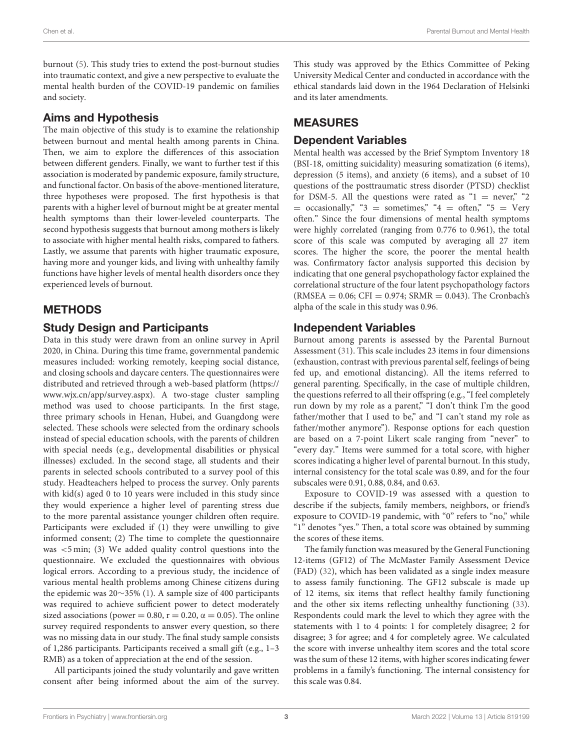burnout [\(5\)](#page-7-4). This study tries to extend the post-burnout studies into traumatic context, and give a new perspective to evaluate the mental health burden of the COVID-19 pandemic on families and society.

#### Aims and Hypothesis

The main objective of this study is to examine the relationship between burnout and mental health among parents in China. Then, we aim to explore the differences of this association between different genders. Finally, we want to further test if this association is moderated by pandemic exposure, family structure, and functional factor. On basis of the above-mentioned literature, three hypotheses were proposed. The first hypothesis is that parents with a higher level of burnout might be at greater mental health symptoms than their lower-leveled counterparts. The second hypothesis suggests that burnout among mothers is likely to associate with higher mental health risks, compared to fathers. Lastly, we assume that parents with higher traumatic exposure, having more and younger kids, and living with unhealthy family functions have higher levels of mental health disorders once they experienced levels of burnout.

### METHODS

#### Study Design and Participants

Data in this study were drawn from an online survey in April 2020, in China. During this time frame, governmental pandemic measures included: working remotely, keeping social distance, and closing schools and daycare centers. The questionnaires were distributed and retrieved through a web-based platform [\(https://](https://www.wjx.cn/app/survey.aspx) [www.wjx.cn/app/survey.aspx\)](https://www.wjx.cn/app/survey.aspx). A two-stage cluster sampling method was used to choose participants. In the first stage, three primary schools in Henan, Hubei, and Guangdong were selected. These schools were selected from the ordinary schools instead of special education schools, with the parents of children with special needs (e.g., developmental disabilities or physical illnesses) excluded. In the second stage, all students and their parents in selected schools contributed to a survey pool of this study. Headteachers helped to process the survey. Only parents with kid(s) aged 0 to 10 years were included in this study since they would experience a higher level of parenting stress due to the more parental assistance younger children often require. Participants were excluded if (1) they were unwilling to give informed consent; (2) The time to complete the questionnaire was <5 min; (3) We added quality control questions into the questionnaire. We excluded the questionnaires with obvious logical errors. According to a previous study, the incidence of various mental health problems among Chinese citizens during the epidemic was 20∼35% [\(1\)](#page-7-0). A sample size of 400 participants was required to achieve sufficient power to detect moderately sized associations (power = 0.80, r = 0.20,  $\alpha$  = 0.05). The online survey required respondents to answer every question, so there was no missing data in our study. The final study sample consists of 1,286 participants. Participants received a small gift (e.g., 1–3 RMB) as a token of appreciation at the end of the session.

All participants joined the study voluntarily and gave written consent after being informed about the aim of the survey. This study was approved by the Ethics Committee of Peking University Medical Center and conducted in accordance with the ethical standards laid down in the 1964 Declaration of Helsinki and its later amendments.

## MEASURES

### Dependent Variables

Mental health was accessed by the Brief Symptom Inventory 18 (BSI-18, omitting suicidality) measuring somatization (6 items), depression (5 items), and anxiety (6 items), and a subset of 10 questions of the posttraumatic stress disorder (PTSD) checklist for DSM-5. All the questions were rated as " $1 =$  never," "2  $=$  occasionally," "3  $=$  sometimes," "4  $=$  often," "5  $=$  Very often." Since the four dimensions of mental health symptoms were highly correlated (ranging from 0.776 to 0.961), the total score of this scale was computed by averaging all 27 item scores. The higher the score, the poorer the mental health was. Confirmatory factor analysis supported this decision by indicating that one general psychopathology factor explained the correlational structure of the four latent psychopathology factors  $(RMSEA = 0.06; CFI = 0.974; SRMR = 0.043)$ . The Cronbach's alpha of the scale in this study was 0.96.

### Independent Variables

Burnout among parents is assessed by the Parental Burnout Assessment [\(31\)](#page-8-19). This scale includes 23 items in four dimensions (exhaustion, contrast with previous parental self, feelings of being fed up, and emotional distancing). All the items referred to general parenting. Specifically, in the case of multiple children, the questions referred to all their offspring (e.g., "I feel completely run down by my role as a parent," "I don't think I'm the good father/mother that I used to be," and "I can't stand my role as father/mother anymore"). Response options for each question are based on a 7-point Likert scale ranging from "never" to "every day." Items were summed for a total score, with higher scores indicating a higher level of parental burnout. In this study, internal consistency for the total scale was 0.89, and for the four subscales were 0.91, 0.88, 0.84, and 0.63.

Exposure to COVID-19 was assessed with a question to describe if the subjects, family members, neighbors, or friend's exposure to COVID-19 pandemic, with "0" refers to "no," while "1" denotes "yes." Then, a total score was obtained by summing the scores of these items.

The family function was measured by the General Functioning 12-items (GF12) of The McMaster Family Assessment Device (FAD) [\(32\)](#page-8-20), which has been validated as a single index measure to assess family functioning. The GF12 subscale is made up of 12 items, six items that reflect healthy family functioning and the other six items reflecting unhealthy functioning [\(33\)](#page-8-21). Respondents could mark the level to which they agree with the statements with 1 to 4 points: 1 for completely disagree; 2 for disagree; 3 for agree; and 4 for completely agree. We calculated the score with inverse unhealthy item scores and the total score was the sum of these 12 items, with higher scores indicating fewer problems in a family's functioning. The internal consistency for this scale was 0.84.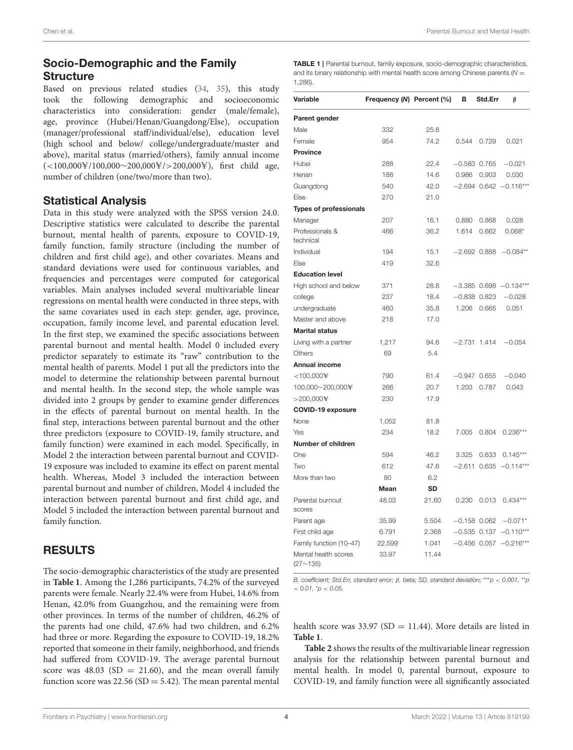### Socio-Demographic and the Family **Structure**

Based on previous related studies [\(34,](#page-8-22) [35\)](#page-8-23), this study took the following demographic and socioeconomic characteristics into consideration: gender (male/female), age, province (Hubei/Henan/Guangdong/Else), occupation (manager/professional staff/individual/else), education level (high school and below/ college/undergraduate/master and above), marital status (married/others), family annual income  $(<100,000\frac{\text{V}}{100,000\sim200,000\frac{\text{V}}{2}}$  > 200,000¥), first child age, number of children (one/two/more than two).

#### Statistical Analysis

Data in this study were analyzed with the SPSS version 24.0. Descriptive statistics were calculated to describe the parental burnout, mental health of parents, exposure to COVID-19, family function, family structure (including the number of children and first child age), and other covariates. Means and standard deviations were used for continuous variables, and frequencies and percentages were computed for categorical variables. Main analyses included several multivariable linear regressions on mental health were conducted in three steps, with the same covariates used in each step: gender, age, province, occupation, family income level, and parental education level. In the first step, we examined the specific associations between parental burnout and mental health. Model 0 included every predictor separately to estimate its "raw" contribution to the mental health of parents. Model 1 put all the predictors into the model to determine the relationship between parental burnout and mental health. In the second step, the whole sample was divided into 2 groups by gender to examine gender differences in the effects of parental burnout on mental health. In the final step, interactions between parental burnout and the other three predictors (exposure to COVID-19, family structure, and family function) were examined in each model. Specifically, in Model 2 the interaction between parental burnout and COVID-19 exposure was included to examine its effect on parent mental health. Whereas, Model 3 included the interaction between parental burnout and number of children, Model 4 included the interaction between parental burnout and first child age, and Model 5 included the interaction between parental burnout and family function.

### RESULTS

The socio-demographic characteristics of the study are presented in **[Table 1](#page-4-0)**. Among the 1,286 participants, 74.2% of the surveyed parents were female. Nearly 22.4% were from Hubei, 14.6% from Henan, 42.0% from Guangzhou, and the remaining were from other provinces. In terms of the number of children, 46.2% of the parents had one child, 47.6% had two children, and 6.2% had three or more. Regarding the exposure to COVID-19, 18.2% reported that someone in their family, neighborhood, and friends had suffered from COVID-19. The average parental burnout score was  $48.03$  (SD = 21.60), and the mean overall family function score was  $22.56$  (SD = 5.42). The mean parental mental

<span id="page-4-0"></span>

| <b>TABLE 1</b>   Parental burnout, family exposure, socio-demographic characteristics, |
|----------------------------------------------------------------------------------------|
| and its binary relationship with mental health score among Chinese parents $(N =$      |
| $1.286$ ).                                                                             |

| Variable                         | Frequency (N) Percent (%) |           | в     | Std.Err          | β                          |
|----------------------------------|---------------------------|-----------|-------|------------------|----------------------------|
|                                  |                           |           |       |                  |                            |
| Parent gender<br>Male            | 332                       | 25.8      |       |                  |                            |
| Female                           | 954                       | 74.2      |       |                  |                            |
| <b>Province</b>                  |                           |           | 0.544 | 0.729            | 0.021                      |
|                                  |                           | 22.4      |       |                  |                            |
| Hubei                            | 288                       |           |       | $-0.583$ 0.765   | $-0.021$                   |
| Henan                            | 188                       | 14.6      | 0.986 | 0.903            | 0.030                      |
| Guangdong                        | 540                       | 42.0      |       |                  | $-2.694$ 0.642 $-0.116***$ |
| Else                             | 270                       | 21.0      |       |                  |                            |
| <b>Types of professionals</b>    |                           |           |       |                  |                            |
| Manager                          | 207                       | 16.1      | 0.880 | 0.868            | 0.028                      |
| Professionals &<br>technical     | 466                       | 36.2      | 1.614 | 0.662            | $0.068*$                   |
| Individual                       | 194                       | 15.1      |       |                  | $-2.692$ 0.888 $-0.084**$  |
| Else                             | 419                       | 32.6      |       |                  |                            |
| <b>Education level</b>           |                           |           |       |                  |                            |
| High school and below            | 371                       | 28.8      |       |                  | $-3.385$ 0.698 $-0.134***$ |
| college                          | 237                       | 18.4      |       | $-0.838$ $0.823$ | $-0.028$                   |
| undergraduate                    | 460                       | 35.8      | 1.206 | 0.665            | 0.051                      |
| Master and above                 | 218                       | 17.0      |       |                  |                            |
| <b>Marital status</b>            |                           |           |       |                  |                            |
| Living with a partner            | 1,217                     | 94.6      |       | $-2.731$ 1.414   | $-0.054$                   |
| Others                           | 69                        | 5.4       |       |                  |                            |
| <b>Annual income</b>             |                           |           |       |                  |                            |
| $<$ 100,000 $\pm$                | 790                       | 61.4      |       | $-0.947$ 0.655   | $-0.040$                   |
| 100,000~200,000¥                 | 266                       | 20.7      | 1.203 | 0.787            | 0.043                      |
| $>$ 200,000¥                     | 230                       | 17.9      |       |                  |                            |
| <b>COVID-19 exposure</b>         |                           |           |       |                  |                            |
| None                             | 1,052                     | 81.8      |       |                  |                            |
| Yes                              | 234                       | 18.2      | 7.005 | 0.804            | $0.236***$                 |
| Number of children               |                           |           |       |                  |                            |
| One                              | 594                       | 46.2      | 3.325 | 0.633            | $0.145***$                 |
| Two                              | 612                       | 47.6      |       | $-2.611$ 0.635   | $-0.114***$                |
| More than two                    | 80                        | 6.2       |       |                  |                            |
|                                  | Mean                      | <b>SD</b> |       |                  |                            |
| Parental burnout<br>scores       | 48.03                     | 21.60     | 0.230 | 0.013            | $0.434***$                 |
| Parent age                       | 35.99                     | 5.504     |       | $-0.158$ 0.062   | $-0.071*$                  |
| First child age                  | 6.791                     | 2.368     |       |                  | $-0.535$ 0.137 $-0.110***$ |
| Family function (10-47)          | 22.599                    | 1.041     |       |                  | $-0.456$ 0.057 $-0.216***$ |
| Mental health scores<br>(27~135) | 33.97                     | 11.44     |       |                  |                            |

*B, coefficient; Std.Err, standard error;* β*, beta; SD, standard deviation;* \*\*\**p* < *0.001,* \*\**p* < *0.01,* \**p* < *0.05.*

health score was 33.97 (SD = 11.44). More details are listed in **[Table 1](#page-4-0)**.

**[Table 2](#page-5-0)** shows the results of the multivariable linear regression analysis for the relationship between parental burnout and mental health. In model 0, parental burnout, exposure to COVID-19, and family function were all significantly associated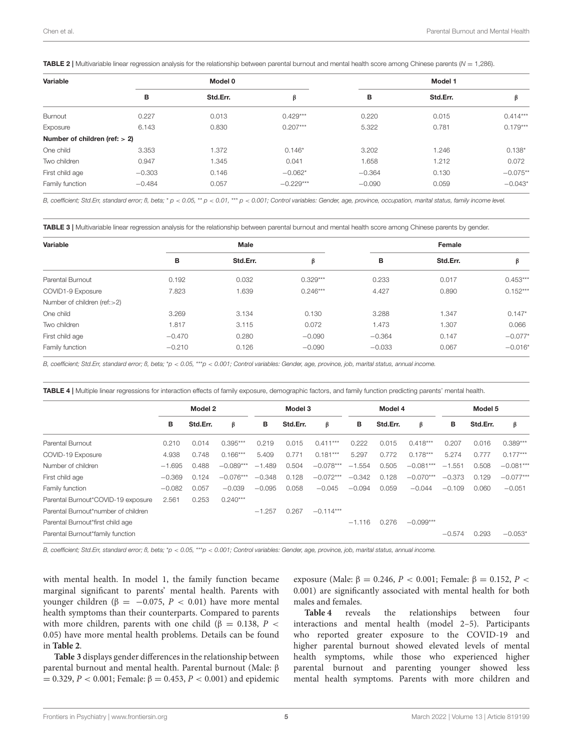<span id="page-5-0"></span>TABLE 2 | Multivariable linear regression analysis for the relationship between parental burnout and mental health score among Chinese parents (*N* = 1,286).

| Variable                         |          | Model 0  |             | Model 1  |          |            |  |  |
|----------------------------------|----------|----------|-------------|----------|----------|------------|--|--|
|                                  | в        | Std.Err. | β           | в        | Std.Err. | β          |  |  |
| Burnout                          | 0.227    | 0.013    | $0.429***$  | 0.220    | 0.015    | $0.414***$ |  |  |
| Exposure                         | 6.143    | 0.830    | $0.207***$  | 5.322    | 0.781    | $0.179***$ |  |  |
| Number of children (ref: $> 2$ ) |          |          |             |          |          |            |  |  |
| One child                        | 3.353    | 1.372    | $0.146*$    | 3.202    | 1.246    | $0.138*$   |  |  |
| Two children                     | 0.947    | 1.345    | 0.041       | 1.658    | 1.212    | 0.072      |  |  |
| First child age                  | $-0.303$ | 0.146    | $-0.062*$   | $-0.364$ | 0.130    | $-0.075**$ |  |  |
| Family function                  | $-0.484$ | 0.057    | $-0.229***$ | $-0.090$ | 0.059    | $-0.043*$  |  |  |

B, coefficient; Std.Err, standard error; B, beta; \*  $p < 0.05$ , \*\*  $p < 0.01$ , \*\*  $p < 0.001$ ; Control variables: Gender, age, province, occupation, marital status, family income level.

<span id="page-5-1"></span>TABLE 3 | Multivariable linear regression analysis for the relationship between parental burnout and mental health score among Chinese parents by gender.

| Variable                        |          | <b>Male</b> |            | Female   |          |            |  |  |
|---------------------------------|----------|-------------|------------|----------|----------|------------|--|--|
|                                 | В        | Std.Err.    | β          | в        | Std.Err. | β          |  |  |
| Parental Burnout                | 0.192    | 0.032       | $0.329***$ | 0.233    | 0.017    | $0.453***$ |  |  |
| COVID1-9 Exposure               | 7.823    | 1.639       | $0.246***$ | 4.427    | 0.890    | $0.152***$ |  |  |
| Number of children (ref: $>2$ ) |          |             |            |          |          |            |  |  |
| One child                       | 3.269    | 3.134       | 0.130      | 3.288    | 1.347    | $0.147*$   |  |  |
| Two children                    | 1.817    | 3.115       | 0.072      | 1.473    | 1.307    | 0.066      |  |  |
| First child age                 | $-0.470$ | 0.280       | $-0.090$   | $-0.364$ | 0.147    | $-0.077*$  |  |  |
| Family function                 | $-0.210$ | 0.126       | $-0.090$   | $-0.033$ | 0.067    | $-0.016*$  |  |  |

*B, coefficient; Std.Err, standard error; ß, beta;* \**p* < *0.05,* \*\*\**p* < *0.001; Control variables: Gender, age, province, job, marital status, annual income.*

<span id="page-5-2"></span>TABLE 4 | Multiple linear regressions for interaction effects of family exposure, demographic factors, and family function predicting parents' mental health.

|                                     | Model 2  |          |             | Model 3  |          | Model 4     |          |          | Model 5     |          |          |             |
|-------------------------------------|----------|----------|-------------|----------|----------|-------------|----------|----------|-------------|----------|----------|-------------|
|                                     | в        | Std.Err. | β           | в        | Std.Err. | β           | в        | Std.Err. | β           | в        | Std.Err. | β           |
| Parental Burnout                    | 0.210    | 0.014    | $0.395***$  | 0.219    | 0.015    | $0.411***$  | 0.222    | 0.015    | $0.418***$  | 0.207    | 0.016    | $0.389***$  |
| COVID-19 Exposure                   | 4.938    | 0.748    | $0.166***$  | 5.409    | 0.771    | $0.181***$  | 5.297    | 0.772    | $0.178***$  | 5.274    | 0.777    | $0.177***$  |
| Number of children                  | $-1.695$ | 0.488    | $-0.089***$ | $-1.489$ | 0.504    | $-0.078***$ | $-1.554$ | 0.505    | $-0.081***$ | $-1.551$ | 0.508    | $-0.081***$ |
| First child age                     | $-0.369$ | 0.124    | $-0.076***$ | $-0.348$ | 0.128    | $-0.072***$ | $-0.342$ | 0.128    | $-0.070***$ | $-0.373$ | 0.129    | $-0.077***$ |
| Family function                     | $-0.082$ | 0.057    | $-0.039$    | $-0.095$ | 0.058    | $-0.045$    | $-0.094$ | 0.059    | $-0.044$    | $-0.109$ | 0.060    | $-0.051$    |
| Parental Burnout*COVID-19 exposure  | 2.561    | 0.253    | $0.240***$  |          |          |             |          |          |             |          |          |             |
| Parental Burnout*number of children |          |          |             | $-1.257$ | 0.267    | $-0.114***$ |          |          |             |          |          |             |
| Parental Burnout*first child age    |          |          |             |          |          |             | $-1.116$ | 0.276    | $-0.099***$ |          |          |             |
| Parental Burnout*family function    |          |          |             |          |          |             |          |          |             | $-0.574$ | 0.293    | $-0.053*$   |

*B, coefficient; Std.Err, standard error; ß, beta;* \**p* < *0.05,* \*\*\**p* < *0.001; Control variables: Gender, age, province, job, marital status, annual income.*

with mental health. In model 1, the family function became marginal significant to parents' mental health. Parents with younger children (β = −0.075,  $P$  < 0.01) have more mental health symptoms than their counterparts. Compared to parents with more children, parents with one child ( $\beta$  = 0.138, P < 0.05) have more mental health problems. Details can be found in **[Table 2](#page-5-0)**.

**[Table 3](#page-5-1)** displays gender differences in the relationship between parental burnout and mental health. Parental burnout (Male: β  $= 0.329, P < 0.001$ ; Female: β = 0.453, P < 0.001) and epidemic

exposure (Male: β = 0.246, P < 0.001; Female: β = 0.152, P < 0.001) are significantly associated with mental health for both males and females.

**[Table 4](#page-5-2)** reveals the relationships between four interactions and mental health (model 2–5). Participants who reported greater exposure to the COVID-19 and higher parental burnout showed elevated levels of mental health symptoms, while those who experienced higher parental burnout and parenting younger showed less mental health symptoms. Parents with more children and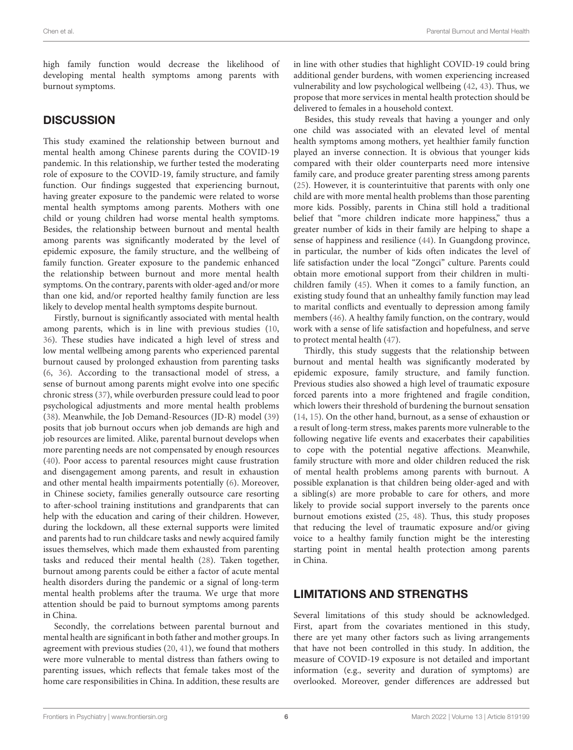high family function would decrease the likelihood of developing mental health symptoms among parents with burnout symptoms.

#### **DISCUSSION**

This study examined the relationship between burnout and mental health among Chinese parents during the COVID-19 pandemic. In this relationship, we further tested the moderating role of exposure to the COVID-19, family structure, and family function. Our findings suggested that experiencing burnout, having greater exposure to the pandemic were related to worse mental health symptoms among parents. Mothers with one child or young children had worse mental health symptoms. Besides, the relationship between burnout and mental health among parents was significantly moderated by the level of epidemic exposure, the family structure, and the wellbeing of family function. Greater exposure to the pandemic enhanced the relationship between burnout and more mental health symptoms. On the contrary, parents with older-aged and/or more than one kid, and/or reported healthy family function are less likely to develop mental health symptoms despite burnout.

Firstly, burnout is significantly associated with mental health among parents, which is in line with previous studies [\(10,](#page-7-9) [36\)](#page-8-24). These studies have indicated a high level of stress and low mental wellbeing among parents who experienced parental burnout caused by prolonged exhaustion from parenting tasks [\(6,](#page-7-5) [36\)](#page-8-24). According to the transactional model of stress, a sense of burnout among parents might evolve into one specific chronic stress [\(37\)](#page-8-25), while overburden pressure could lead to poor psychological adjustments and more mental health problems [\(38\)](#page-8-26). Meanwhile, the Job Demand-Resources (JD-R) model [\(39\)](#page-8-27) posits that job burnout occurs when job demands are high and job resources are limited. Alike, parental burnout develops when more parenting needs are not compensated by enough resources [\(40\)](#page-8-28). Poor access to parental resources might cause frustration and disengagement among parents, and result in exhaustion and other mental health impairments potentially [\(6\)](#page-7-5). Moreover, in Chinese society, families generally outsource care resorting to after-school training institutions and grandparents that can help with the education and caring of their children. However, during the lockdown, all these external supports were limited and parents had to run childcare tasks and newly acquired family issues themselves, which made them exhausted from parenting tasks and reduced their mental health [\(28\)](#page-8-16). Taken together, burnout among parents could be either a factor of acute mental health disorders during the pandemic or a signal of long-term mental health problems after the trauma. We urge that more attention should be paid to burnout symptoms among parents in China.

Secondly, the correlations between parental burnout and mental health are significant in both father and mother groups. In agreement with previous studies [\(20,](#page-8-8) [41\)](#page-8-29), we found that mothers were more vulnerable to mental distress than fathers owing to parenting issues, which reflects that female takes most of the home care responsibilities in China. In addition, these results are in line with other studies that highlight COVID-19 could bring additional gender burdens, with women experiencing increased vulnerability and low psychological wellbeing [\(42,](#page-8-30) [43\)](#page-8-31). Thus, we propose that more services in mental health protection should be delivered to females in a household context.

Besides, this study reveals that having a younger and only one child was associated with an elevated level of mental health symptoms among mothers, yet healthier family function played an inverse connection. It is obvious that younger kids compared with their older counterparts need more intensive family care, and produce greater parenting stress among parents [\(25\)](#page-8-13). However, it is counterintuitive that parents with only one child are with more mental health problems than those parenting more kids. Possibly, parents in China still hold a traditional belief that "more children indicate more happiness," thus a greater number of kids in their family are helping to shape a sense of happiness and resilience [\(44\)](#page-8-32). In Guangdong province, in particular, the number of kids often indicates the level of life satisfaction under the local "Zongci" culture. Parents could obtain more emotional support from their children in multichildren family [\(45\)](#page-8-33). When it comes to a family function, an existing study found that an unhealthy family function may lead to marital conflicts and eventually to depression among family members [\(46\)](#page-8-34). A healthy family function, on the contrary, would work with a sense of life satisfaction and hopefulness, and serve to protect mental health [\(47\)](#page-8-35).

Thirdly, this study suggests that the relationship between burnout and mental health was significantly moderated by epidemic exposure, family structure, and family function. Previous studies also showed a high level of traumatic exposure forced parents into a more frightened and fragile condition, which lowers their threshold of burdening the burnout sensation [\(14,](#page-8-2) [15\)](#page-8-3). On the other hand, burnout, as a sense of exhaustion or a result of long-term stress, makes parents more vulnerable to the following negative life events and exacerbates their capabilities to cope with the potential negative affections. Meanwhile, family structure with more and older children reduced the risk of mental health problems among parents with burnout. A possible explanation is that children being older-aged and with a sibling(s) are more probable to care for others, and more likely to provide social support inversely to the parents once burnout emotions existed [\(25,](#page-8-13) [48\)](#page-8-36). Thus, this study proposes that reducing the level of traumatic exposure and/or giving voice to a healthy family function might be the interesting starting point in mental health protection among parents in China.

### LIMITATIONS AND STRENGTHS

Several limitations of this study should be acknowledged. First, apart from the covariates mentioned in this study, there are yet many other factors such as living arrangements that have not been controlled in this study. In addition, the measure of COVID-19 exposure is not detailed and important information (e.g., severity and duration of symptoms) are overlooked. Moreover, gender differences are addressed but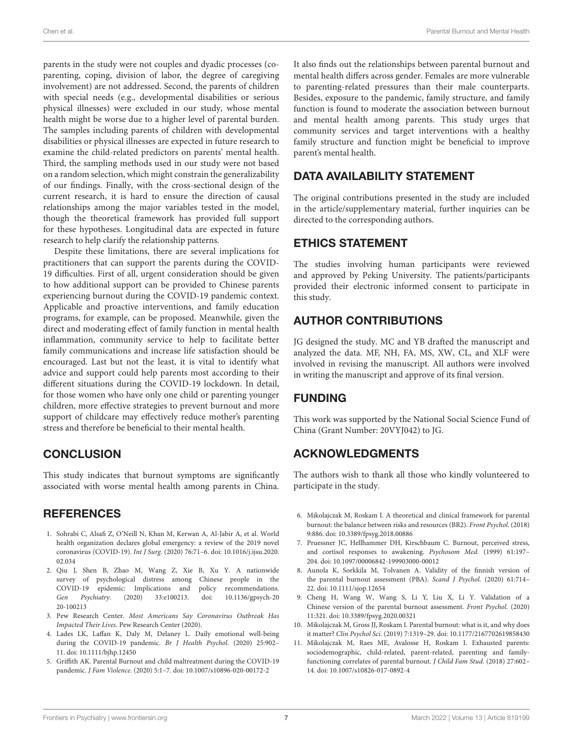parents in the study were not couples and dyadic processes (coparenting, coping, division of labor, the degree of caregiving involvement) are not addressed. Second, the parents of children with special needs (e.g., developmental disabilities or serious physical illnesses) were excluded in our study, whose mental health might be worse due to a higher level of parental burden. The samples including parents of children with developmental disabilities or physical illnesses are expected in future research to examine the child-related predictors on parents' mental health. Third, the sampling methods used in our study were not based on a random selection, which might constrain the generalizability of our findings. Finally, with the cross-sectional design of the current research, it is hard to ensure the direction of causal relationships among the major variables tested in the model, though the theoretical framework has provided full support for these hypotheses. Longitudinal data are expected in future research to help clarify the relationship patterns.

Despite these limitations, there are several implications for practitioners that can support the parents during the COVID-19 difficulties. First of all, urgent consideration should be given to how additional support can be provided to Chinese parents experiencing burnout during the COVID-19 pandemic context. Applicable and proactive interventions, and family education programs, for example, can be proposed. Meanwhile, given the direct and moderating effect of family function in mental health inflammation, community service to help to facilitate better family communications and increase life satisfaction should be encouraged. Last but not the least, it is vital to identify what advice and support could help parents most according to their different situations during the COVID-19 lockdown. In detail, for those women who have only one child or parenting younger children, more effective strategies to prevent burnout and more support of childcare may effectively reduce mother's parenting stress and therefore be beneficial to their mental health.

### **CONCLUSION**

This study indicates that burnout symptoms are significantly associated with worse mental health among parents in China.

### **REFERENCES**

- <span id="page-7-0"></span>1. Sohrabi C, Alsafi Z, O'Neill N, Khan M, Kerwan A, Al-Jabir A, et al. World health organization declares global emergency: a review of the 2019 novel coronavirus (COVID-19). Int J Surg. [\(2020\) 76:71–6. doi: 10.1016/j.ijsu.2020.](https://doi.org/10.1016/j.ijsu.2020.02.034) 02.034
- <span id="page-7-1"></span>2. Qiu J, Shen B, Zhao M, Wang Z, Xie B, Xu Y. A nationwide survey of psychological distress among Chinese people in the COVID-19 epidemic: Implications and policy recommendations. Gen Psychiatry[. \(2020\) 33:e100213. doi: 10.1136/gpsych-20](https://doi.org/10.1136/gpsych-2020-100213) 20-100213
- <span id="page-7-2"></span>3. Pew Research Center. Most Americans Say Coronavirus Outbreak Has Impacted Their Lives. Pew Research Center (2020).
- <span id="page-7-3"></span>4. Lades LK, Laffan K, Daly M, Delaney L. Daily emotional well-being during the COVID-19 pandemic. Br J Health Psychol. (2020) 25:902– 11. doi: [10.1111/bjhp.12450](https://doi.org/10.1111/bjhp.12450)
- <span id="page-7-4"></span>5. Griffith AK. Parental Burnout and child maltreatment during the COVID-19 pandemic. J Fam Violence. (2020) 5:1–7. doi: [10.1007/s10896-020-00172-2](https://doi.org/10.1007/s10896-020-00172-2)

It also finds out the relationships between parental burnout and mental health differs across gender. Females are more vulnerable to parenting-related pressures than their male counterparts. Besides, exposure to the pandemic, family structure, and family function is found to moderate the association between burnout and mental health among parents. This study urges that community services and target interventions with a healthy family structure and function might be beneficial to improve parent's mental health.

### DATA AVAILABILITY STATEMENT

The original contributions presented in the study are included in the article/supplementary material, further inquiries can be directed to the corresponding authors.

#### ETHICS STATEMENT

The studies involving human participants were reviewed and approved by Peking University. The patients/participants provided their electronic informed consent to participate in this study.

### AUTHOR CONTRIBUTIONS

JG designed the study. MC and YB drafted the manuscript and analyzed the data. MF, NH, FA, MS, XW, CL, and XLF were involved in revising the manuscript. All authors were involved in writing the manuscript and approve of its final version.

### FUNDING

This work was supported by the National Social Science Fund of China (Grant Number: 20VYJ042) to JG.

### ACKNOWLEDGMENTS

The authors wish to thank all those who kindly volunteered to participate in the study.

- <span id="page-7-5"></span>6. Mikolajczak M, Roskam I. A theoretical and clinical framework for parental burnout: the balance between risks and resources (BR2). Front Psychol. (2018) 9:886. doi: [10.3389/fpsyg.2018.00886](https://doi.org/10.3389/fpsyg.2018.00886)
- <span id="page-7-6"></span>7. Pruessner JC, Hellhammer DH, Kirschbaum C. Burnout, perceived stress, and cortisol responses to awakening. Psychosom Med. (1999) 61:197– 204. doi: [10.1097/00006842-199903000-00012](https://doi.org/10.1097/00006842-199903000-00012)
- <span id="page-7-7"></span>8. Aunola K, Sorkkila M, Tolvanen A. Validity of the finnish version of the parental burnout assessment (PBA). Scand J Psychol. (2020) 61:714– 22. doi: [10.1111/sjop.12654](https://doi.org/10.1111/sjop.12654)
- <span id="page-7-8"></span>9. Cheng H, Wang W, Wang S, Li Y, Liu X, Li Y. Validation of a Chinese version of the parental burnout assessment. Front Psychol. (2020) 11:321. doi: [10.3389/fpsyg.2020.00321](https://doi.org/10.3389/fpsyg.2020.00321)
- <span id="page-7-9"></span>10. Mikolajczak M, Gross JJ, Roskam I. Parental burnout: what is it, and why does it matter? Clin Psychol Sci. (2019) 7:1319–29. doi: [10.1177/2167702619858430](https://doi.org/10.1177/2167702619858430)
- <span id="page-7-10"></span>11. Mikolajczak M, Raes ME, Avalosse H, Roskam I. Exhausted parents: sociodemographic, child-related, parent-related, parenting and familyfunctioning correlates of parental burnout. J Child Fam Stud. (2018) 27:602– 14. doi: [10.1007/s10826-017-0892-4](https://doi.org/10.1007/s10826-017-0892-4)